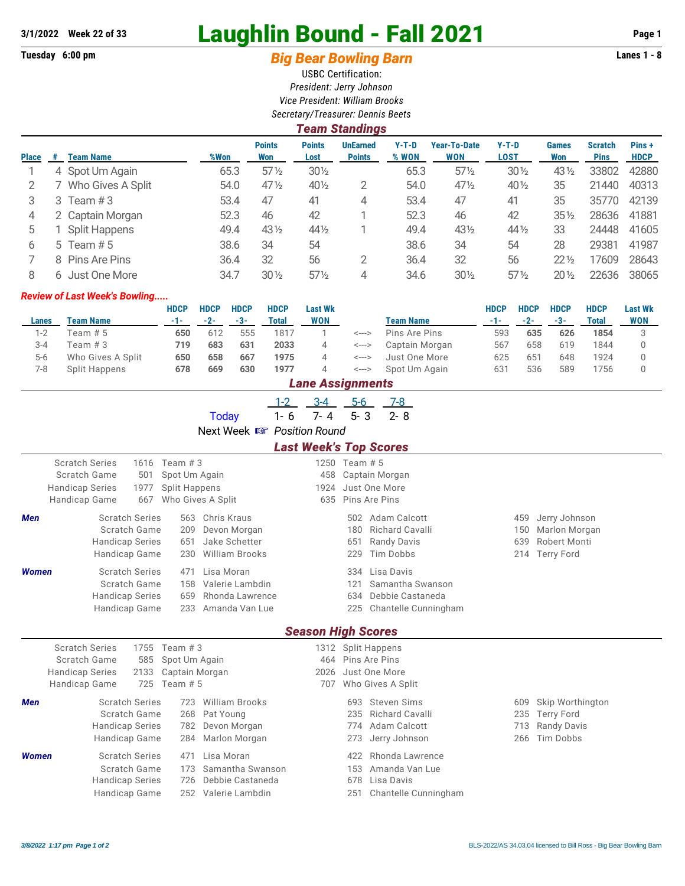## **3/1/2022 Week 22 of 33** Laughlin Bound - Fall 2021 **Page 1**

## **Tuesday 6:00 pm** *Big Bear Bowling Barn* **Lanes 1 - 8**

USBC Certification: *President: Jerry Johnson Vice President: William Brooks Secretary/Treasurer: Dennis Beets*

|              | Team Standings |                      |      |                      |                       |                                  |                  |                                   |                        |                     |                               |                      |  |  |
|--------------|----------------|----------------------|------|----------------------|-----------------------|----------------------------------|------------------|-----------------------------------|------------------------|---------------------|-------------------------------|----------------------|--|--|
| <b>Place</b> | #              | <b>Team Name</b>     | %Won | <b>Points</b><br>Won | <b>Points</b><br>Lost | <b>UnEarned</b><br><b>Points</b> | $Y-T-D$<br>% WON | <b>Year-To-Date</b><br><b>WON</b> | $Y-T-D$<br><b>LOST</b> | <b>Games</b><br>Won | <b>Scratch</b><br><b>Pins</b> | Pins+<br><b>HDCP</b> |  |  |
|              |                | 4 Spot Um Again      | 65.3 | $57\%$               | $30\frac{1}{2}$       |                                  | 65.3             | $57\frac{1}{2}$                   | $30\%$                 | $43\frac{1}{2}$     | 33802                         | 42880                |  |  |
|              |                | Who Gives A Split    | 54.0 | $47\%$               | 401/2                 | 2                                | 54.0             | 471/2                             | 40 1/2                 | 35                  | 21440                         | 40313                |  |  |
| 3            | 3              | Team #3              | 53.4 | 47                   | 41                    | 4                                | 53.4             | 47                                | 41                     | 35                  | 35770                         | 42139                |  |  |
| 4            |                | 2 Captain Morgan     | 52.3 | 46                   | 42                    |                                  | 52.3             | 46                                | 42                     | $35\%$              | 28636                         | 41881                |  |  |
| 5            |                | <b>Split Happens</b> | 49.4 | 43 1/2               | $44\frac{1}{2}$       |                                  | 49.4             | 431/2                             | 44 1/2                 | 33                  | 24448                         | 41605                |  |  |
| 6            |                | 5 Team $# 5$         | 38.6 | 34                   | 54                    |                                  | 38.6             | 34                                | 54                     | 28                  | 29381                         | 41987                |  |  |
|              |                | 8 Pins Are Pins      | 36.4 | 32                   | 56                    | 2                                | 36.4             | 32                                | 56                     | $22\frac{1}{2}$     | 17609                         | 28643                |  |  |
| 8            |                | 6 Just One More      | 34.7 | $30\%$               | $57\%$                | 4                                | 34.6             | $30\frac{1}{2}$                   | $57\%$                 | $20\%$              | 22636                         | 38065                |  |  |

## *Review of Last Week's Bowling.....*

|         |                   | <b>HDCP</b> | <b>HDCP</b> | <b>HDCP</b> | <b>HDCP</b> | <b>Last Wk</b>   |                        |                  | <b>HDCP</b> | <b>HDCP</b>  | <b>HDCP</b> | <b>HDCP</b> | <b>Last Wk</b> |
|---------|-------------------|-------------|-------------|-------------|-------------|------------------|------------------------|------------------|-------------|--------------|-------------|-------------|----------------|
| Lanes   | <b>Team Name</b>  | -1-         | $-2-$       | $-3-$       | Total       | <b>WON</b>       |                        | <b>Team Name</b> |             | $-2-$        | $-3-$       | Total       | <b>WON</b>     |
| $1-2$   | Team # 5          | 650         | 612         | 555         | 1817        |                  | <--->                  | Pins Are Pins    | 593         | 635          | 626         | 1854        |                |
| $3 - 4$ | Team $#3$         | 719         | 683         | 631         | 2033        | 4                | <--->                  | Captain Morgan   | 567         | 658          | 619         | 1844        |                |
| $5 - 6$ | Who Gives A Split | 650         | 658         | 667         | 1975        |                  | <--->                  | Just One More    | 625         | $65^{\circ}$ | 648         | 1924        |                |
| 7-8     | Split Happens     | 678         | 669         | 630         | 1977        |                  | Spot Um Again<br><---> |                  | 631         | 536          | 589         | 1756        |                |
|         |                   |             |             |             |             | Lane Assignments |                        |                  |             |              |             |             |                |

|                                                             |                                                                                  |                            | <b>Today</b>                                                                                      | $3 - 4$<br>$1-2$<br>$7 - 4$<br>$1 - 6$ | $5-6$<br>$5 - 3$         | $7 - 8$<br>$2 - 8$                                                            |                          |                                                                   |  |  |  |  |  |
|-------------------------------------------------------------|----------------------------------------------------------------------------------|----------------------------|---------------------------------------------------------------------------------------------------|----------------------------------------|--------------------------|-------------------------------------------------------------------------------|--------------------------|-------------------------------------------------------------------|--|--|--|--|--|
| Next Week I Position Round<br><b>Last Week's Top Scores</b> |                                                                                  |                            |                                                                                                   |                                        |                          |                                                                               |                          |                                                                   |  |  |  |  |  |
|                                                             | <b>Scratch Series</b><br>Scratch Game<br><b>Handicap Series</b><br>Handicap Game | 1616<br>501<br>1977<br>667 | Team $#3$<br>Spot Um Again<br><b>Split Happens</b><br>Who Gives A Split                           | 458<br>1924<br>635                     | 1250 Team # 5            | Captain Morgan<br>Just One More<br>Pins Are Pins                              |                          |                                                                   |  |  |  |  |  |
| Men                                                         | <b>Scratch Series</b><br>Scratch Game<br><b>Handicap Series</b><br>Handicap Game |                            | Chris Kraus<br>563<br>Devon Morgan<br>209<br>Jake Schetter<br>651<br><b>William Brooks</b><br>230 |                                        | 502<br>180<br>651<br>229 | Adam Calcott<br><b>Richard Cavalli</b><br><b>Randy Davis</b><br>Tim Dobbs     | 459<br>150<br>639        | Jerry Johnson<br>Marlon Morgan<br>Robert Monti<br>214 Terry Ford  |  |  |  |  |  |
| <b>Women</b>                                                | <b>Scratch Series</b><br>Scratch Game<br><b>Handicap Series</b><br>Handicap Game |                            | Lisa Moran<br>471<br>Valerie Lambdin<br>158<br>Rhonda Lawrence<br>659<br>Amanda Van Lue<br>233    |                                        | 334<br>121<br>634<br>225 | Lisa Davis<br>Samantha Swanson<br>Debbie Castaneda<br>Chantelle Cunningham    |                          |                                                                   |  |  |  |  |  |
|                                                             |                                                                                  |                            |                                                                                                   | <b>Season High Scores</b>              |                          |                                                                               |                          |                                                                   |  |  |  |  |  |
|                                                             | <b>Scratch Series</b><br>Scratch Game<br><b>Handicap Series</b><br>Handicap Game | 1755<br>585<br>2133<br>725 | Team $#3$<br>Spot Um Again<br>Captain Morgan<br>Team $# 5$                                        | 464<br>2026<br>707                     |                          | 1312 Split Happens<br>Pins Are Pins<br>Just One More<br>Who Gives A Split     |                          |                                                                   |  |  |  |  |  |
| Men                                                         | <b>Scratch Series</b><br>Scratch Game<br><b>Handicap Series</b><br>Handicap Game |                            | <b>William Brooks</b><br>723<br>Pat Young<br>268<br>Devon Morgan<br>782<br>284<br>Marlon Morgan   |                                        | 693<br>235<br>774<br>273 | <b>Steven Sims</b><br><b>Richard Cavalli</b><br>Adam Calcott<br>Jerry Johnson | 609<br>235<br>713<br>266 | Skip Worthington<br><b>Terry Ford</b><br>Randy Davis<br>Tim Dobbs |  |  |  |  |  |

**Women** Scratch Series 471 Lisa Moran **1988 122 Rhonda Lawrence** 

Scratch Game 173 Samantha Swanson 153 Amanda Van Lue Handicap Series 726 Debbie Castaneda 678 Lisa Davis

Handicap Game 252 Valerie Lambdin 251 Chantelle Cunningham